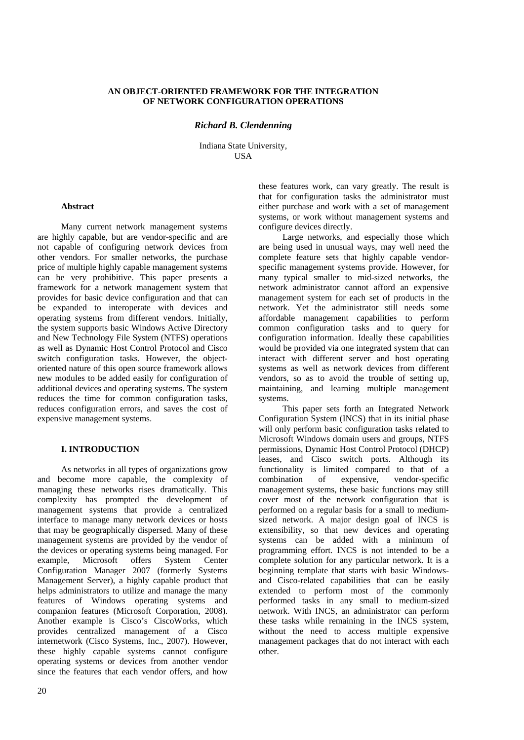## **AN OBJECT-ORIENTED FRAMEWORK FOR THE INTEGRATION OF NETWORK CONFIGURATION OPERATIONS**

## *Richard B. Clendenning*

Indiana State University, **USA** 

## **Abstract**

Many current network management systems are highly capable, but are vendor-specific and are not capable of configuring network devices from other vendors. For smaller networks, the purchase price of multiple highly capable management systems can be very prohibitive. This paper presents a framework for a network management system that provides for basic device configuration and that can be expanded to interoperate with devices and operating systems from different vendors. Initially, the system supports basic Windows Active Directory and New Technology File System (NTFS) operations as well as Dynamic Host Control Protocol and Cisco switch configuration tasks. However, the objectoriented nature of this open source framework allows new modules to be added easily for configuration of additional devices and operating systems. The system reduces the time for common configuration tasks, reduces configuration errors, and saves the cost of expensive management systems.

### **I. INTRODUCTION**

As networks in all types of organizations grow and become more capable, the complexity of managing these networks rises dramatically. This complexity has prompted the development of management systems that provide a centralized interface to manage many network devices or hosts that may be geographically dispersed. Many of these management systems are provided by the vendor of the devices or operating systems being managed. For example, Microsoft offers System Center Configuration Manager 2007 (formerly Systems Management Server), a highly capable product that helps administrators to utilize and manage the many features of Windows operating systems and companion features (Microsoft Corporation, 2008). Another example is Cisco's CiscoWorks, which provides centralized management of a Cisco internetwork (Cisco Systems, Inc., 2007). However, these highly capable systems cannot configure operating systems or devices from another vendor since the features that each vendor offers, and how

these features work, can vary greatly. The result is that for configuration tasks the administrator must either purchase and work with a set of management systems, or work without management systems and configure devices directly.

Large networks, and especially those which are being used in unusual ways, may well need the complete feature sets that highly capable vendorspecific management systems provide. However, for many typical smaller to mid-sized networks, the network administrator cannot afford an expensive management system for each set of products in the network. Yet the administrator still needs some affordable management capabilities to perform common configuration tasks and to query for configuration information. Ideally these capabilities would be provided via one integrated system that can interact with different server and host operating systems as well as network devices from different vendors, so as to avoid the trouble of setting up, maintaining, and learning multiple management systems.

This paper sets forth an Integrated Network Configuration System (INCS) that in its initial phase will only perform basic configuration tasks related to Microsoft Windows domain users and groups, NTFS permissions, Dynamic Host Control Protocol (DHCP) leases, and Cisco switch ports. Although its functionality is limited compared to that of a<br>combination of expensive. vendor-specific combination of expensive, vendor-specific management systems, these basic functions may still cover most of the network configuration that is performed on a regular basis for a small to mediumsized network. A major design goal of INCS is extensibility, so that new devices and operating systems can be added with a minimum of programming effort. INCS is not intended to be a complete solution for any particular network. It is a beginning template that starts with basic Windowsand Cisco-related capabilities that can be easily extended to perform most of the commonly performed tasks in any small to medium-sized network. With INCS, an administrator can perform these tasks while remaining in the INCS system. without the need to access multiple expensive management packages that do not interact with each other.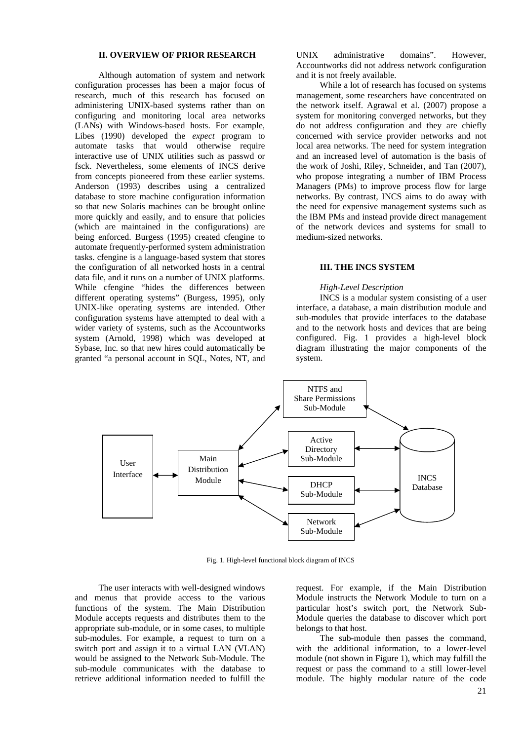## **II. OVERVIEW OF PRIOR RESEARCH**

Although automation of system and network configuration processes has been a major focus of research, much of this research has focused on administering UNIX-based systems rather than on configuring and monitoring local area networks (LANs) with Windows-based hosts. For example, Libes (1990) developed the *expect* program to automate tasks that would otherwise require interactive use of UNIX utilities such as passwd or fsck. Nevertheless, some elements of INCS derive from concepts pioneered from these earlier systems. Anderson (1993) describes using a centralized database to store machine configuration information so that new Solaris machines can be brought online more quickly and easily, and to ensure that policies (which are maintained in the configurations) are being enforced. Burgess (1995) created cfengine to automate frequently-performed system administration tasks. cfengine is a language-based system that stores the configuration of all networked hosts in a central data file, and it runs on a number of UNIX platforms. While cfengine "hides the differences between different operating systems" (Burgess, 1995), only UNIX-like operating systems are intended. Other configuration systems have attempted to deal with a wider variety of systems, such as the Accountworks system (Arnold, 1998) which was developed at Sybase, Inc. so that new hires could automatically be granted "a personal account in SQL, Notes, NT, and

UNIX administrative domains". However, Accountworks did not address network configuration and it is not freely available.

While a lot of research has focused on systems management, some researchers have concentrated on the network itself. Agrawal et al. (2007) propose a system for monitoring converged networks, but they do not address configuration and they are chiefly concerned with service provider networks and not local area networks. The need for system integration and an increased level of automation is the basis of the work of Joshi, Riley, Schneider, and Tan (2007), who propose integrating a number of IBM Process Managers (PMs) to improve process flow for large networks. By contrast, INCS aims to do away with the need for expensive management systems such as the IBM PMs and instead provide direct management of the network devices and systems for small to medium-sized networks.

## **III. THE INCS SYSTEM**

## *High-Level Description*

INCS is a modular system consisting of a user interface, a database, a main distribution module and sub-modules that provide interfaces to the database and to the network hosts and devices that are being configured. Fig. 1 provides a high-level block diagram illustrating the major components of the system.



Fig. 1. High-level functional block diagram of INCS

The user interacts with well-designed windows and menus that provide access to the various functions of the system. The Main Distribution Module accepts requests and distributes them to the appropriate sub-module, or in some cases, to multiple sub-modules. For example, a request to turn on a switch port and assign it to a virtual LAN (VLAN) would be assigned to the Network Sub-Module. The sub-module communicates with the database to retrieve additional information needed to fulfill the request. For example, if the Main Distribution Module instructs the Network Module to turn on a particular host's switch port, the Network Sub-Module queries the database to discover which port belongs to that host.

The sub-module then passes the command, with the additional information, to a lower-level module (not shown in Figure 1), which may fulfill the request or pass the command to a still lower-level module. The highly modular nature of the code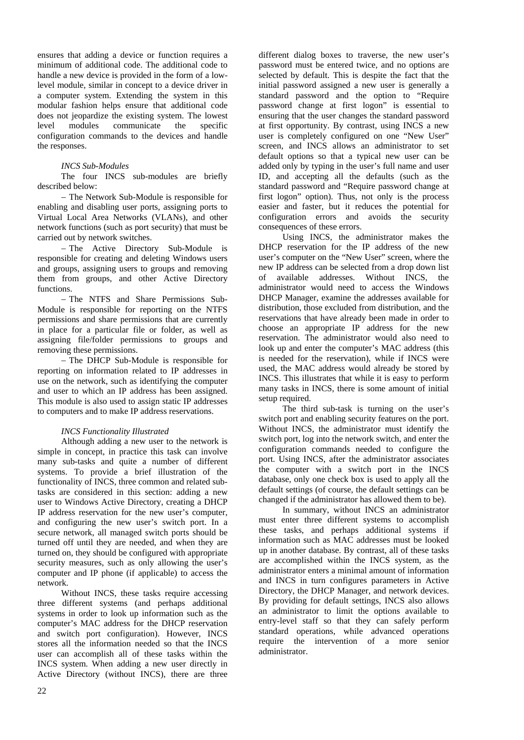ensures that adding a device or function requires a minimum of additional code. The additional code to handle a new device is provided in the form of a lowlevel module, similar in concept to a device driver in a computer system. Extending the system in this modular fashion helps ensure that additional code does not jeopardize the existing system. The lowest level modules communicate the specific configuration commands to the devices and handle the responses.

## *INCS Sub-Modules*

The four INCS sub-modules are briefly described below:

− The Network Sub-Module is responsible for enabling and disabling user ports, assigning ports to Virtual Local Area Networks (VLANs), and other network functions (such as port security) that must be carried out by network switches.

− The Active Directory Sub-Module is responsible for creating and deleting Windows users and groups, assigning users to groups and removing them from groups, and other Active Directory functions.

− The NTFS and Share Permissions Sub-Module is responsible for reporting on the NTFS permissions and share permissions that are currently in place for a particular file or folder, as well as assigning file/folder permissions to groups and removing these permissions.

− The DHCP Sub-Module is responsible for reporting on information related to IP addresses in use on the network, such as identifying the computer and user to which an IP address has been assigned. This module is also used to assign static IP addresses to computers and to make IP address reservations.

# *INCS Functionality Illustrated*

Although adding a new user to the network is simple in concept, in practice this task can involve many sub-tasks and quite a number of different systems. To provide a brief illustration of the functionality of INCS, three common and related subtasks are considered in this section: adding a new user to Windows Active Directory, creating a DHCP IP address reservation for the new user's computer, and configuring the new user's switch port. In a secure network, all managed switch ports should be turned off until they are needed, and when they are turned on, they should be configured with appropriate security measures, such as only allowing the user's computer and IP phone (if applicable) to access the network.

Without INCS, these tasks require accessing three different systems (and perhaps additional systems in order to look up information such as the computer's MAC address for the DHCP reservation and switch port configuration). However, INCS stores all the information needed so that the INCS user can accomplish all of these tasks within the INCS system. When adding a new user directly in Active Directory (without INCS), there are three different dialog boxes to traverse, the new user's password must be entered twice, and no options are selected by default. This is despite the fact that the initial password assigned a new user is generally a standard password and the option to "Require password change at first logon" is essential to ensuring that the user changes the standard password at first opportunity. By contrast, using INCS a new user is completely configured on one "New User" screen, and INCS allows an administrator to set default options so that a typical new user can be added only by typing in the user's full name and user ID, and accepting all the defaults (such as the standard password and "Require password change at first logon" option). Thus, not only is the process easier and faster, but it reduces the potential for configuration errors and avoids the security consequences of these errors.

Using INCS, the administrator makes the DHCP reservation for the IP address of the new user's computer on the "New User" screen, where the new IP address can be selected from a drop down list of available addresses. Without INCS, the administrator would need to access the Windows DHCP Manager, examine the addresses available for distribution, those excluded from distribution, and the reservations that have already been made in order to choose an appropriate IP address for the new reservation. The administrator would also need to look up and enter the computer's MAC address (this is needed for the reservation), while if INCS were used, the MAC address would already be stored by INCS. This illustrates that while it is easy to perform many tasks in INCS, there is some amount of initial setup required.

The third sub-task is turning on the user's switch port and enabling security features on the port. Without INCS, the administrator must identify the switch port, log into the network switch, and enter the configuration commands needed to configure the port. Using INCS, after the administrator associates the computer with a switch port in the INCS database, only one check box is used to apply all the default settings (of course, the default settings can be changed if the administrator has allowed them to be).

In summary, without INCS an administrator must enter three different systems to accomplish these tasks, and perhaps additional systems if information such as MAC addresses must be looked up in another database. By contrast, all of these tasks are accomplished within the INCS system, as the administrator enters a minimal amount of information and INCS in turn configures parameters in Active Directory, the DHCP Manager, and network devices. By providing for default settings, INCS also allows an administrator to limit the options available to entry-level staff so that they can safely perform standard operations, while advanced operations require the intervention of a more senior administrator.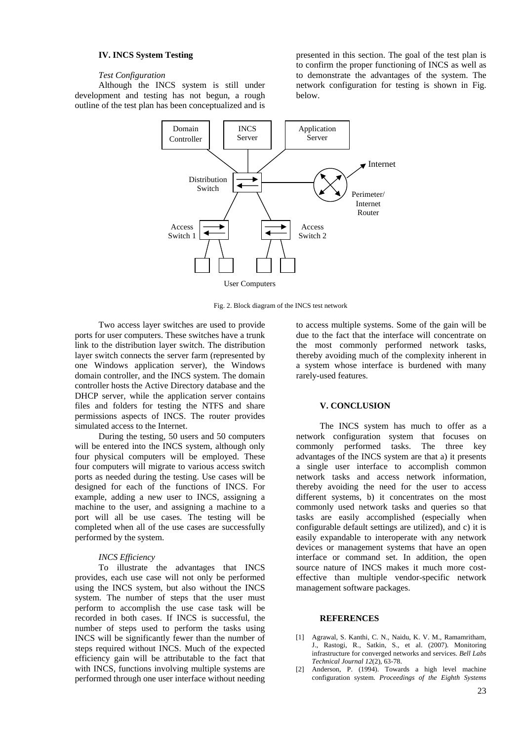## **IV. INCS System Testing**

## *Test Configuration*

Although the INCS system is still under development and testing has not begun, a rough outline of the test plan has been conceptualized and is

presented in this section. The goal of the test plan is to confirm the proper functioning of INCS as well as to demonstrate the advantages of the system. The network configuration for testing is shown in Fig. below.



Fig. 2. Block diagram of the INCS test network

Two access layer switches are used to provide ports for user computers. These switches have a trunk link to the distribution layer switch. The distribution layer switch connects the server farm (represented by one Windows application server), the Windows domain controller, and the INCS system. The domain controller hosts the Active Directory database and the DHCP server, while the application server contains files and folders for testing the NTFS and share permissions aspects of INCS. The router provides simulated access to the Internet.

During the testing, 50 users and 50 computers will be entered into the INCS system, although only four physical computers will be employed. These four computers will migrate to various access switch ports as needed during the testing. Use cases will be designed for each of the functions of INCS. For example, adding a new user to INCS, assigning a machine to the user, and assigning a machine to a port will all be use cases. The testing will be completed when all of the use cases are successfully performed by the system.

### *INCS Efficiency*

To illustrate the advantages that INCS provides, each use case will not only be performed using the INCS system, but also without the INCS system. The number of steps that the user must perform to accomplish the use case task will be recorded in both cases. If INCS is successful, the number of steps used to perform the tasks using INCS will be significantly fewer than the number of steps required without INCS. Much of the expected efficiency gain will be attributable to the fact that with INCS, functions involving multiple systems are performed through one user interface without needing

to access multiple systems. Some of the gain will be due to the fact that the interface will concentrate on the most commonly performed network tasks, thereby avoiding much of the complexity inherent in a system whose interface is burdened with many rarely-used features.

#### **V. CONCLUSION**

The INCS system has much to offer as a network configuration system that focuses on commonly performed tasks. The three key advantages of the INCS system are that a) it presents a single user interface to accomplish common network tasks and access network information, thereby avoiding the need for the user to access different systems, b) it concentrates on the most commonly used network tasks and queries so that tasks are easily accomplished (especially when configurable default settings are utilized), and c) it is easily expandable to interoperate with any network devices or management systems that have an open interface or command set. In addition, the open source nature of INCS makes it much more costeffective than multiple vendor-specific network management software packages.

#### **REFERENCES**

- [1] Agrawal, S. Kanthi, C. N., Naidu, K. V. M., Ramamritham, J., Rastogi, R., Satkin, S., et al. (2007). Monitoring infrastructure for converged networks and services. *Bell Labs Technical Journal 12*(2), 63-78.
- [2] Anderson, P. (1994). Towards a high level machine configuration system. *Proceedings of the Eighth Systems*